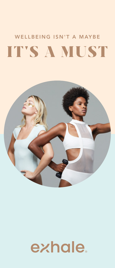# WELLBEING ISN'T A MAYBE IT'S A MUST



# exhale.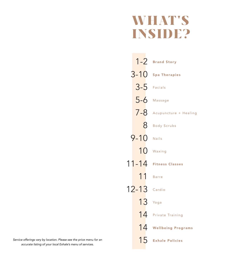# WHAT'S INSIDE?

|               | 1-2 Brand Story               |
|---------------|-------------------------------|
| $3 - 10$      | Spa Therapies                 |
| $3-5$ Facials |                               |
| $5-6$         | Massage                       |
|               | $7 - 8$ Acupuncture + Healing |
| 8             | <b>Body Scrubs</b>            |
| $9 - 10$      | Nails                         |
|               | 10 Waxing                     |
| $11 - 14$     | <b>Fitness Classes</b>        |
| 11            | <b>Barre</b>                  |
| $12 - 13$     | Cardio                        |
| $13$ Yoga     |                               |
| 14            | <b>Private Training</b>       |
| 14            | <b>Wellbeing Programs</b>     |
| 15            | <b>Exhale Policies</b>        |

Service offerings vary by location. Please see the price menu for an *accurate listing of your local Exhale's menu of services.*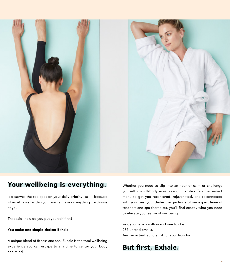

## Your wellbeing is everything.

It deserves the top spot on your daily priority list — because when all is well within you, you can take on anything life throws at you.

That said, how do you put yourself first?

#### You make one simple choice: Exhale.

A unique blend of fitness and spa, Exhale is the total wellbeing experience you can escape to any time to center your body and mind.

Whether you need to slip into an hour of calm or challenge yourself in a full-body sweat session, Exhale offers the perfect menu to get you recentered, rejuvenated, and reconnected with your best you. Under the guidance of our expert team of teachers and spa therapists, you'll find exactly what you need to elevate your sense of wellbeing.

Yes, you have a million and one to-dos. 237 unread emails. And an actual laundry list for your laundry.

## But first, Exhale.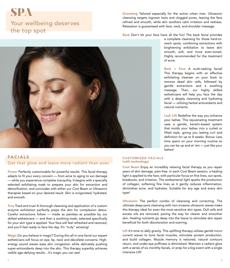## SPA Your wellbeing deserves the top spot

Grooming Tailored especially for the active urban man. Ultrasonic cleansing targets ingrown hairs and clogged pores, leaving the face refined and smooth, while skin soothers calm irritation and redness. Relaxation is guaranteed with face, neck, and shoulder massage.

Back Don't let your face have all the fun! The back facial provides



#### FACIALS Get that glow and leave more radiant than ever.

Power Perfectly customizable for powerful results. This facial therapy adapts to fit your every concern — from acne to aging to sun damage — while you experience complete tranquility. It begins with a specially selected exfoliating mask to prepare your skin for extraction and detoxification, and concludes with either our Cool Beam or Ultrasonic therapies based on your desired result. Skin is invigorated, hydrated, and smooth.

True Tried and true! A thorough cleansing and application of a custom enzyme exfoliation perfectly preps the skin for complexion detox. Careful extractions follow — made as painless as possible by our skilled estheticians — and then a soothing mask, selected specifically for your skin type is applied. Your face will feel refreshed and restored, and you'll feel ready to face the day. It's "truly" amazing!

Magic Do you believe in magic? During this all-in-one facial our expert estheticians will focus on eye, lip, neck and décolleté concerns. Highenergy sound waves ease skin congestion while delicately pushing super-antioxidants deep into the skin. This therapy superbly achieves visible age-defying results…it's magic you can see!

#### CUSTOMIZED FACIALS (with technology)

Cool Beam Enjoy an incredibly relaxing facial therapy as you repair years of skin damage, pain-free. In each Cool Beam session, a healing light is applied to the face, with particular focus on fine lines, sun spots, breakouts, and irritation. The antibacterial light sparks the production of collagen, softening fine lines as it gently reduces inflammation, diminishes acne, and hydrates. Suitable for any age and every skin type!

Ultrasonic The perfect combo of cleansing and correcting. The ultimate deep-pore cleansing with non-invasive ultrasonic waves make this therapy ideal for even the most sensitive skin types. Dull cells and excess oils are removed, paving the way for clearer and smoother skin. Healing nutrients go deep into the tissue to stimulate skin repair beneficial for both discoloration and scarring.

Lift It's time to defy gravity. This uplifting therapy utilizes gentle micro current waves to tone facial muscles, stimulate protein production, and build collagen. Muscle memory is restored, natural contours return, and under-eye puffiness is diminished. Maintain a radiant glow with a series of six monthly facials, or prep for a big event with a single intensive Lift!

a complete cleansing for those hard-toreach spots, combining extractions with brightening exfoliation to leave skin smooth, soft, and more even-toned. Highly recommended for the treatment of acne.

Back + Face A multi-tasking facial! This therapy begins with an effective exfoliating cleanser on your back to remove dead skin cells, followed by gentle extractions and a soothing massage. Then, our highly skilled estheticians will help you face the day with a deeply cleansing and hydrating facial — utilizing herbal antioxidants and natural nutrients.

Lash Lift Redefine the way you enhance your lashes. This rejuvenating treatment uses a gentle, keratin-based system that molds your lashes into a curled or lifted style, giving you lasting curl and definition for up to 8 weeks. Bonus: Less time spent on your morning routine so you can be up and at 'em — just like your lashes!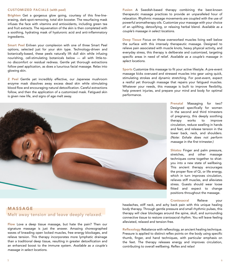#### CUSTOMIZED FACIALS (with peel)

Brighten Get a gorgeous glow going, courtesy of this fine-lineerasing, dark-spot-removing, total skin booster. The resurfacing mask infuses the face with vitamins and antioxidants, including green tea and fruit extracts. The rejuvenation of the skin is then completed with a soothing, hydrating mask of hyaluronic acid and anti-inflammatory ingredients.

Smart Peel Enliven your complexion with one of three Smart Peel options, selected just for your skin type. Technology-driven and botanically-based, these peels naturally lift dull skin while infusing nourishing, cell-stimulating botanicals below — all with little-tono discomfort or residual redness. Gentle yet thorough extractions follow peel application, as does a luxurious facial massage. Relax into glowing skin.

Z Peel Gentle yet incredibly effective, our Japanese mushroom enzyme mask dissolves away excess dead skin while stimulating blood flow and encouraging natural detoxification. Careful extractions follow, and then the application of a customized mask. Fatigued skin is given new life, and signs of age melt away.

Fusion A Swedish-based therapy combining the best-known therapeutic massage practices to provide an unparalleled hour of relaxation. Rhythmic massage movements are coupled with the use of powerful aromatherapy oils. Customize your massage with your choice of an uplifting, detoxifying, or relaxing herbal blend. *Available as a couple's massage in select locations.*

Deep Tissue Focus on those overworked muscles living well below the surface with this intensely therapeutic massage. Designed to relieve pain associated with muscle knots, heavy physical activity, and everyday stress, this therapy is deliberate and customized, targeting specific areas in need of relief. *Available as a couple's massage in*  select locations.

Sports Customize this massage to fit your active lifestyle. A pre-event massage kicks overused and stressed muscles into gear using quick, stimulating strokes and dynamic stretching. For post-event, expect a restful yet thorough massage that repairs your fatigued muscles. Whatever your needs, this massage is built to improve flexibility, help prevent injuries, and prepare your mind and body for optimal performance.



Prenatal Massaging for two? Designed specifically for women in the second and third trimesters of pregnancy, this deeply soothing therapy works to improve circulation, reduce swelling in hands and feet, and release tension in the lower back, neck, and shoulders. *(Note: Exhale does not perform*  massage in the first trimester.)

Shiatsu Finger and palm pressure, stretches, and other massage techniques come together to shiatyou into a new state of wellbeing. This ancient therapy encourages the proper flow of Qi, or life energy, which in turn improves circulation, relieves stiff muscles, and alleviates stress. Guests should wear loose fitted and expect to change positions throughout the massage.

Craniosacral Relieve your

#### MASSAGE Melt away tension and leave deeply relaxed.

Flow Love a deep tissue massage, but hate the pain? Then our signature massage is just the answer. Amazing choreographed waves of kneading open locked muscles, free energy blockages, and relieve tension. This therapy incorporates more lymphatic drainage than a traditional deep tissue, resulting in greater detoxification and an enhanced boost to the immune system. *Available as a couple's massage in select locations.*

headaches, stiff neck, and achy back pain with this unique healing body therapy. Through gentle pressure and small rhythmic pulses, this therapy will clear blockages around the spine, skull, and surrounding connective tissue to restore craniosacral rhythm. You will leave feeling alleviated, relaxed and tension-free.

Reflexology Rebalance with reflexology, an ancient healing technique. Pressure is applied to distinct reflex points on the body using specific thumb, finger, and hand techniques, with particular emphasis on the feet. The therapy releases energy and improves circulation, contributing to overall wellbeing. Reflex and relax!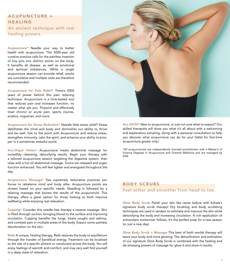#### A CUPUNCTURE + HEALING An ancient technique with real healing powers.

Acupuncture\* Needle your way to better health with acupuncture. This 5000-year old curative practice calls for the painless insertion of tiny pins into distinct points on the body. It benefits all disease, as well as emotional and spiritual imbalances. While a single acupuncture session can provide relief, results are cumulative and multiple visits are therefore recommended.

Acupuncture for Pain Relief\* There's 5000 years of power behind this pain relieving technique. Acupuncture is a time-tested tool that reduces pain and increases function, no matter what ails you. Pinpoint and effectively treat chronic or acute pain, sports injuries, sciatica, migraines, and more.

Acupuncture for Stress Reduction\* Needle little stress relief? Stress debilitates the mind and body and diminishes our ability to thrive and be well. Get to the point with Acupuncture and reduce stress, strengthen immunity, calm the spirit, and enhance your ability to prosper in a sometimes stressful world.

Acu-Organ Detox\* Acupuncture meets abdominal massage for incredibly cleansing, detoxifying results. Begin your therapy with a tailored acupuncture session targeting the digestive system, then relax with a hot oil abdominal massage. Toxins are released and organ function enhanced. You will feel lighter and energized throughout the day.

Acupuncture Massage\* Two supremely restorative practices join forces to rebalance mind and body alike. Acupuncture points are chosen based on your specific needs. Needling is followed by a relaxing massage that boosts the results of the acupuncture. This therapy offers a great option for those looking to both improve wellbeing while enjoying real relaxation.

Cupping\* Consider this needle-free therapy a reverse massage. Skin is lifted through suction, bringing blood to the surface and improving circulation. Cupping benefits the lungs, treats coughs and asthma, and combats pain in multiple areas of the body. Expect some painless discoloration on the skin.

Reiki A unique, healing therapy, Reiki restores the body to equilibrium through the transfer of beneficial energy. Treatment can be localized to the site of a specific ailment or conducted across the body. You will enjoy feelings of warmth and comfort, and may very well find yourself in a deep state of relaxation.



Acu 20/20\* New to acupuncture, or just not sure what to expect? Our skilled therapists will show you what it's all about with a welcoming and explanatory sampling, along with a personal consultation to help you discover what acupuncture can do for you! (Valid for first-time acupuncture guests only.)

*\*All acupuncturists are independently licensed practitioners with a Master's of Science Degrees in Acupuncture and Oriental Medicine and are managed by IHW.*

#### BODY SCRUBS Feel softer and smoother from head to toe.

Glow Body Scrub Polish your skin like never before with Exhale's signature body scrub therapy! Dry brushing and body scrubbing techniques are used in tandem to exfoliate and improve the skin while detoxifying the body and increasing circulation. A rich application of antioxidant moisturizer follows. It's the perfect prep for a new season (or just a new day).

Glow Body Scrub + Massage This best of both worlds therapy will leave your body and mind glowing. The detoxification and exfoliation of our signature Glow Body Scrub is combined with the healing and de-stressing powers of massage for glow-it and show-it results.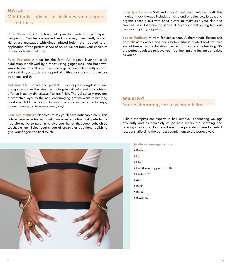#### NAILS Mind-body satisfaction includes your fingers — and toes.

Pure Manicure Add a touch of glam to hands with a full-palm pampering. Cuticles are soaked and softened, then gently buffed. Hands are massaged with ginger-infused lotion, then treated to an application of the perfect shade of polish. Select from your choice of organic or traditional polish.

Pure Pedicure A treat for the feet! An organic lavender scrub exfoliation is followed by a moisturizing ginger mask and hot towel wrap. All natural callus remover and organic heel balm gently smooth and seal skin, and toes are topped off with your choice of organic or traditional polish.

Gel Add On Protect and perfect! This uniquely long-lasting nail therapy combines the latest technology in nail color and LED lights to offer an instantly dry, always flawless finish. The gel actually provides a protective layer to the nail, encouraging growth while minimizing breakage. Add this option to your manicure or pedicure to enjoy longer, stronger, shinier nails every day!

Luxe Spa Manicure Needless to say you'll have noticeable nails. This cuticle cure includes an Eco-fin mask — an all-natural, petroleumfree alternative to paraffin to give your hands that super-soft, oh-so touchable feel. Select your shade of organic or traditional polish to give your fingers the final touch.

Luxe Spa Pedicure Soft and smooth feet that can't be beat! This indulgent foot therapy includes a rich blend of palm, soy, jojoba, and organic coconut oils with Shea butter to moisturize your skin and cure calluses. Hot stone massage will leave your feet feeling fabulous before you pick your polish.

Sports Pedicure A treat for active feet. A therapeutic Epsom salt bath alleviates aches and pains before fitness related foot troubles are addressed with exfoliation, toenail trimming and reflexology. It's the perfect pedicure to leave your feet looking and feeling as healthy as you do.

#### WAXING

#### Your exit strategy for unwanted hairs.

Exhale therapists are experts in hair removal, conducting waxings efficiently and as painlessly as possible within the soothing and relaxing spa setting. Lash and brow tinting are also offered at select locations, affording the perfect complement to the perfect wax.



#### Available waxings include:

- Brows
- Lip
- Chin
- Leg (lower, upper, or full)
- Underarm
- Arm
- Back
- Bikini
- Brazilian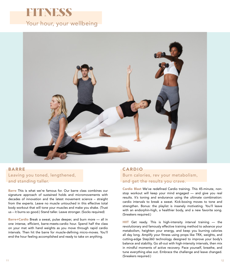



#### BARRE Leaving you toned, lengthened, and standing taller.

Barre This is what we're famous for. Our barre class combines our signature approach of sustained holds and micromovements with decades of innovation and the latest movement science – straight from the experts. Leave no muscle untouched in this effective total body workout that will tone your muscles and make you shake. (Trust us – it burns so good.) Stand taller. Leave stronger. (Socks required)

Barre+Cardio Break a sweat, pulse deeper, and burn more - all in one intense, efficient, barre-meets-cardio hour. Spend half the class on your mat with hand weights as you move through rapid cardio intervals. Then hit the barre for muscle-defining micro-moves. You'll end the hour feeling accomplished and ready to take on anything.

#### CARDIO

Burn calories, rev your metabolism, and get the results you crave.

Cardio Blast We've redefined Cardio training. This 45-minute, nonstop workout will keep your mind engaged — and give you real results. It's toning and endurance using the ultimate combination: cardio intervals to break a sweat. Kick-boxing moves to tone and strengthen. Bonus: the playlist is insanely motivating. You'll leave with an endorphin-high, a healthier body, and a new favorite song. (Sneakers required.)

HIIT Get ready. This is high-intensity interval training - the revolutionary and famously effective training method to advance your metabolism, heighten your energy, and keep you burning calories all day long. Amplify your fitness using props like TRX, weights, and cutting-edge Step360 technology designed to improve your body's balance and stability. Go all-out with high-intensity intervals, then mix in mindful moments of active recovery. Pace yourself, breathe, and tune everything else out. Embrace the challenge and leave changed. (Sneakers required.)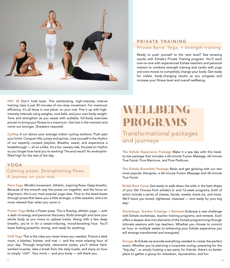

### PRIVATE TRAINING

#### Private Barre, Yoga, + strength training

Ready to push yourself to the next level? See amazing results with Exhale's Private Training program. You'll work one-on-one with experienced Exhale teachers and personal trainers to combine strength training and cardio with yoga and core moves to completely change your body. Get ready for visible, body-changing results as you progress and increase your fitness level and overall wellbeing.

HIIT 30 Don't hold back. This exhilarating, high-intensity interval training class is just 30 minutes of non-stop movement. For maximum efficiency, it's all done in one place: on your mat. Fire it up with highintensity intervals using weights, core balls, and your own body weight. Tone and strengthen as you sweat with scalable, full-body exercises proven to bring your fitness to a maximum. Get lost in the moment and come out stronger. (Sneakers required)

Cycling A cut above your average indoor cycling workout. Push past your limits. Conquer hills, jumps and sprints. Lose yourself in the rhythm of our expertly curated playlists. Breathe, sweat, and experience a breakthrough — all on a bike. It's a fun, sweaty ride, focused on rhythm so you forget how hard you're working! The end result? An endorphinfilled high for the rest of the day.

#### YOGA

Calming poses. Strengthening flows. A journey on your mat.

Flow Yoga Mindful movement. Athletic, inspiring flows. Deep breaths. Because of the smooth way the poses run together, and the focus on alignment, this is our most popular yoga class. Flow to the latest beats through poses that leave you a little stronger, a little sweatier, and a lot more relaxed than when you came in.

Power Yoga Strike a Power pose. This is flowing, athletic yoga — with a dash of energy and personal discovery. Build strength and tone your whole body as you move to upbeat tracks. Along with a few deep breaths, you're in for a sweat-inducing, mood-boosting hour. You'll leave feeling powerful, strong, and ready for anything.

Chill Yoga This is the class you never knew you needed. Picture a dark room, a blanket, bolster, and mat — and the most relaxing hour of your day. Through long-held, restorative poses, you'll relieve hardworked muscles, take a break from the daily hustle, and enjoy an hour to simply "chill". Your mind — and your body — will thank you.

## WELLBEING PROGRAMS Transformational packages and journeys

The Exhale Experience Package Make it a spa day with this headto-toe package that includes a 60-minute Fusion Massage, 60-minute True Facial, Pure Manicure, and Pure Pedicure.

The Exhale Essentials Package Relax and get glowing with our two most popular therapies; a 60-minute Fusion Massage and 60-minute True Facial.

Bridal Boot Camp Get ready to walk down the aisle in the best shape of your life! Choose from exhale's 6- and 12-week programs, both of which include a series of classes, facials, weekly check-ins, and more. We'll leave you toned, tightened, cleansed — and ready for your big day!

Workshops, Teacher Trainings + Retreats Embrace a new challenge with Exhale workshops, teacher training programs, and retreats. Each offers a deeper dive into elements of the Exhale programming through intimate sessions with top teachers. Whether you choose to commit an hour or multiple weeks to enhancing your Exhale experience you will emerge transformed and energized.

Groups At Exhale we provide everything needed to create the perfect event. Whether you're planning a corporate outing, preparing for the "big day", or simply hosting a spa party for friends, there's no better place to gather a group for relaxation, rejuvenation, and fun.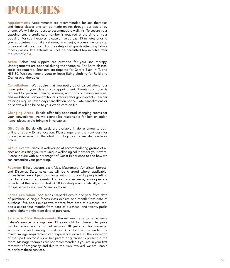## POLICIES

Appointments Appointments are recommended for spa therapies and fitness classes and can be made online, through our app or by phone. We will do our best to accommodate walk-ins. To secure your appointment, a credit card number is required at the time of your booking. For spa therapies, please arrive at least 15 minutes prior to your appointment to take a shower, relax, enjoy a complimentary cup of tea and calm your soul. For the safety of all guests attending Exhale fitness classes, late entrants will not be permitted ten minutes after the start of class.

Attire Robes and slippers are provided for your spa therapy. Undergarments are optional during the therapies. For Barre classes, socks are required. Sneakers are required for Cardio Blast, HIIT, and HIIT 30. We recommend yoga or loose-fitting clothing for Reiki and Craniosacral therapies.

Cancellations We require that you notify us of cancellations four hours prior to your class or spa appointment. Twenty-four hours is required for personal training sessions, nutrition counseling sessions, and workshops. Forty-eight hours is required for group events. Teacher trainings require seven days cancellation notice. Late cancellations or no-shows will be billed to your credit card on file.

Changing Areas Exhale offer fully-appointed changing rooms for your convenience. As we cannot be responsible for lost or stolen items, please avoid bringing in valuables.

Gift Cards Exhale gift cards are available in dollar amounts both online or at any Exhale location. Please inquire at the front desk for guidance in selecting the ideal gift. E-gift cards are also available online.

Group Events Exhale is well-versed at accommodating groups of all sizes and assisting you with unique wellbeing solutions for your event. Please inquire with our Manager of Guest Experience to see how we can customize your gathering.

Payment Exhale accepts cash, Visa, Mastercard, American Express, and Discover. State sales tax will be charged where applicable. Prices listed are subject to change without notice. Tipping is left to the discretion of our guests. For your convenience, envelopes are provided at the reception desk. A 20% gratuity is automatically added for spa services in all our Miami locations.

Series Expiration Spa series six-packs expire one year from date of purchase. A single fitness class expires one month from date of purchase, five-packs expire two months from date of purchase, tenpacks expire four months from date of purchase, and twenty-packs expire eight months from date of purchase.

Service + Class Requirements The minimum age to experience Exhale's service offerings are: 13 years old for classes; 16 years old for facials, waxing + nail services; 18 years old for massage, acupuncture and healing modalities. Any child who is under the minimum age requirement can experience exhale at the discretion of the Spa Director if his or her parent or guardian is present in the room. Massage therapies are not recommended if you are in your first trimester of pregnancy, and due to the risks involved, we are unable to perform these services.